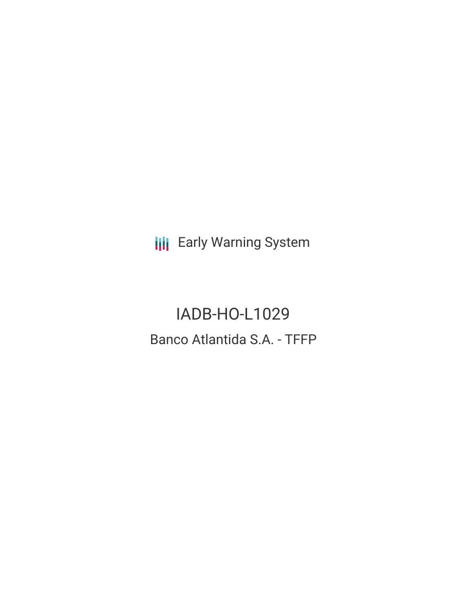**III** Early Warning System

IADB-HO-L1029 Banco Atlantida S.A. - TFFP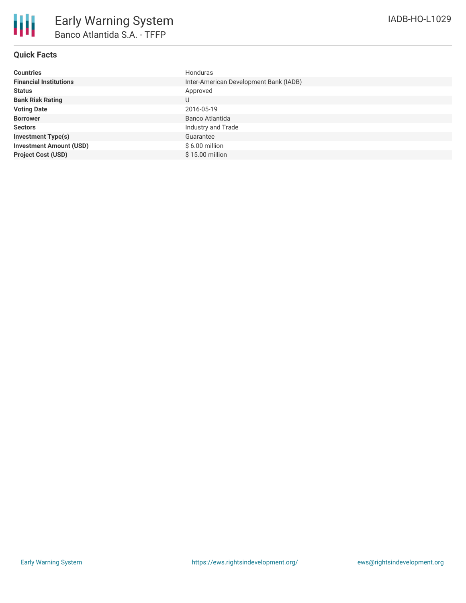

## **Quick Facts**

| <b>Countries</b>               | Honduras                               |
|--------------------------------|----------------------------------------|
| <b>Financial Institutions</b>  | Inter-American Development Bank (IADB) |
| <b>Status</b>                  | Approved                               |
| <b>Bank Risk Rating</b>        | U                                      |
| <b>Voting Date</b>             | 2016-05-19                             |
| <b>Borrower</b>                | Banco Atlantida                        |
| <b>Sectors</b>                 | Industry and Trade                     |
| <b>Investment Type(s)</b>      | Guarantee                              |
| <b>Investment Amount (USD)</b> | $$6.00$ million                        |
| <b>Project Cost (USD)</b>      | $$15.00$ million                       |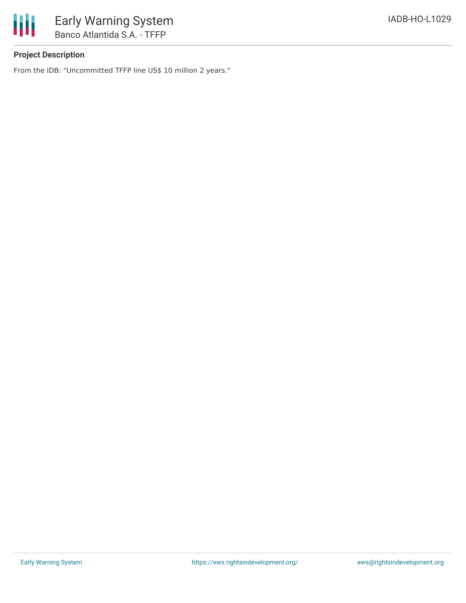

# **Project Description**

From the IDB: "Uncommitted TFFP line US\$ 10 million 2 years."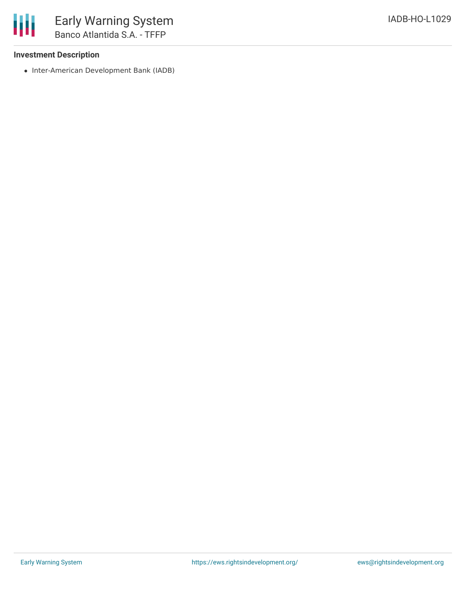### **Investment Description**

• Inter-American Development Bank (IADB)